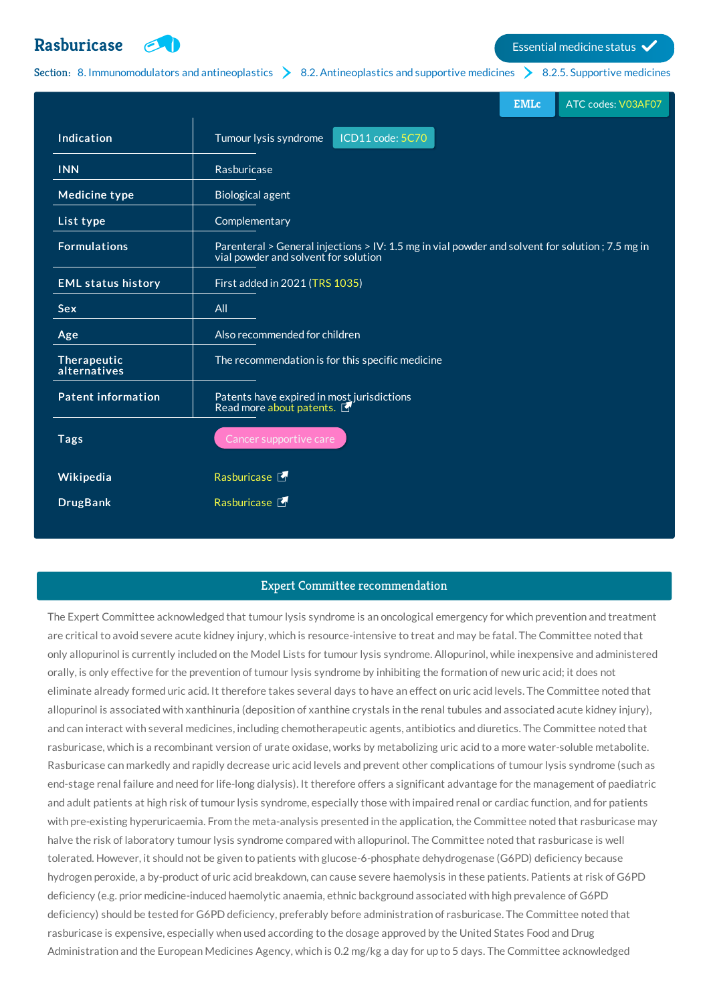# **[Rasburicase](http://list.essentialmeds.org/medicines/625) Exercía de la contrada de la contrada de la contrada de la contrada de la contrada de la contrada de la contrada de la contrada de la contrada de la contrada de la contrada de la contrada de la contrada de l**



Section: 8. [Immunomodulators](http://list.essentialmeds.org/?section=374) and antineoplastics  $\geq 8.2$ . [Antineoplastics](http://list.essentialmeds.org/?section=376) and supportive medicines  $\geq 8.2.5$ . [Supportive](http://list.essentialmeds.org/?section=484) medicines

|                             | <b>EMLc</b><br>ATC codes: V03AF07                                                                                                       |
|-----------------------------|-----------------------------------------------------------------------------------------------------------------------------------------|
| Indication                  | ICD11 code: 5C70<br>Tumour lysis syndrome                                                                                               |
| <b>INN</b>                  | Rasburicase                                                                                                                             |
| <b>Medicine type</b>        | <b>Biological agent</b>                                                                                                                 |
| List type                   | Complementary                                                                                                                           |
| <b>Formulations</b>         | Parenteral > General injections > IV: 1.5 mg in vial powder and solvent for solution; 7.5 mg in<br>vial powder and solvent for solution |
| <b>EML status history</b>   | First added in 2021 (TRS 1035)                                                                                                          |
| Sex                         | All                                                                                                                                     |
| Age                         | Also recommended for children                                                                                                           |
| Therapeutic<br>alternatives | The recommendation is for this specific medicine                                                                                        |
| <b>Patent information</b>   | Patents have expired in most jurisdictions<br>Read more about patents.                                                                  |
| <b>Tags</b>                 | Cancer supportive care                                                                                                                  |
| Wikipedia                   | Rasburicase <sup></sup>                                                                                                                 |
| <b>DrugBank</b>             | Rasburicase <sup></sup>                                                                                                                 |

### Expert Committee recommendation

The Expert Committee acknowledged that tumour lysis syndrome is an oncological emergency for which prevention and treatment are critical to avoid severe acute kidney injury, which is resource-intensive to treat and may be fatal. The Committee noted that only allopurinol is currently included on the Model Lists for tumour lysis syndrome. Allopurinol, while inexpensive and administered orally, is only effective for the prevention of tumour lysis syndrome by inhibiting the formation of new uric acid; it does not eliminate already formed uric acid. It therefore takes several days to have an effect on uric acid levels. The Committee noted that allopurinol is associated with xanthinuria (deposition of xanthine crystals in the renal tubules and associated acute kidney injury), and can interact with several medicines, including chemotherapeutic agents, antibiotics and diuretics. The Committee noted that rasburicase, which is a recombinant version of urate oxidase, works by metabolizing uric acid to a more water-soluble metabolite. Rasburicase can markedly and rapidly decrease uric acid levels and prevent other complications of tumour lysis syndrome (such as end-stage renal failure and need for life-long dialysis). It therefore offers a significant advantage for the management of paediatric and adult patients at high risk of tumour lysis syndrome, especially those with impaired renal or cardiac function, and for patients with pre-existing hyperuricaemia. From the meta-analysis presented in the application, the Committee noted that rasburicase may halve the risk of laboratory tumour lysis syndrome compared with allopurinol. The Committee noted that rasburicase is well tolerated. However, it should not be given to patients with glucose-6-phosphate dehydrogenase (G6PD) deficiency because hydrogen peroxide, a by-product of uric acid breakdown, can cause severe haemolysis in these patients. Patients at risk of G6PD deficiency (e.g. prior medicine-induced haemolytic anaemia, ethnic background associated with high prevalence of G6PD deficiency) should be tested for G6PD deficiency, preferably before administration of rasburicase. The Committee noted that rasburicase is expensive, especially when used according to the dosage approved by the United States Food and Drug Administration and the European Medicines Agency, which is 0.2 mg/kg a day for up to 5 days. The Committee acknowledged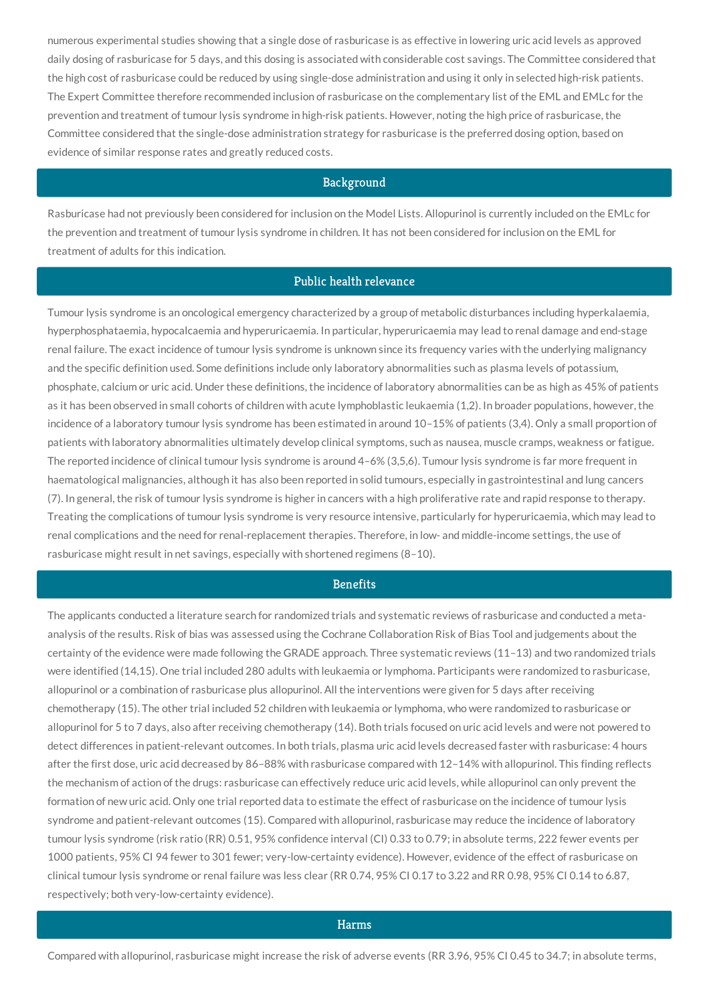numerous experimental studies showing that a single dose of rasburicase is as effective in lowering uric acid levels as approved daily dosing of rasburicase for 5 days, and this dosing is associated with considerable cost savings. The Committee considered that the high cost of rasburicase could be reduced by using single-dose administration and using it only in selected high-risk patients. The Expert Committee therefore recommended inclusion of rasburicase on the complementary list of the EML and EMLc for the prevention and treatment of tumour lysis syndrome in high-risk patients. However, noting the high price of rasburicase, the Committee considered that the single-dose administration strategy for rasburicase is the preferred dosing option, based on evidence of similar response rates and greatly reduced costs.

#### **Background**

Rasburicase had not previously been considered for inclusion on the Model Lists. Allopurinol is currently included on the EMLc for the prevention and treatment of tumour lysis syndrome in children. It has not been considered for inclusion on the EML for treatment of adults for this indication.

#### Public health relevance

Tumour lysis syndrome is an oncological emergency characterized by a group of metabolic disturbances including hyperkalaemia, hyperphosphataemia, hypocalcaemia and hyperuricaemia. In particular, hyperuricaemia may lead to renal damage and end-stage renal failure. The exact incidence of tumour lysis syndrome is unknown since its frequency varies with the underlying malignancy and the specific definition used. Some definitions include only laboratory abnormalities such as plasma levels of potassium, phosphate, calcium or uric acid. Under these definitions, the incidence of laboratory abnormalities can be as high as 45% of patients as it has been observed in small cohorts of children with acute lymphoblastic leukaemia (1,2). In broader populations, however, the incidence of a laboratory tumour lysis syndrome has been estimated in around 10–15% of patients (3,4). Only a small proportion of patients with laboratory abnormalities ultimately develop clinical symptoms, such as nausea, muscle cramps, weakness or fatigue. The reported incidence of clinical tumour lysis syndrome is around 4–6% (3,5,6). Tumour lysis syndrome is far more frequent in haematological malignancies, although it has also been reported in solid tumours, especially in gastrointestinal and lung cancers (7). In general, the risk of tumour lysis syndrome is higher in cancers with a high proliferative rate and rapid response to therapy. Treating the complications of tumour lysis syndrome is very resource intensive, particularly for hyperuricaemia, which may lead to renal complications and the need for renal-replacement therapies. Therefore, in low- and middle-income settings, the use of rasburicase might result in net savings, especially with shortened regimens (8–10).

## **Benefits**

The applicants conducted a literature search for randomized trials and systematic reviews of rasburicase and conducted a metaanalysis of the results. Risk of bias was assessed using the Cochrane Collaboration Risk of Bias Tool and judgements about the certainty of the evidence were made following the GRADE approach. Three systematic reviews (11–13) and two randomized trials were identified (14,15). One trial included 280 adults with leukaemia or lymphoma. Participants were randomized to rasburicase, allopurinol or a combination of rasburicase plus allopurinol. All the interventions were given for 5 days after receiving chemotherapy (15). The other trial included 52 children with leukaemia or lymphoma, who were randomized to rasburicase or allopurinol for 5 to 7 days, also after receiving chemotherapy (14). Both trials focused on uric acid levels and were not powered to detect differences in patient-relevant outcomes. In both trials, plasma uric acid levels decreased faster with rasburicase: 4 hours after the first dose, uric acid decreased by 86–88% with rasburicase compared with 12–14% with allopurinol. This finding reflects the mechanism of action of the drugs: rasburicase can effectively reduce uric acid levels, while allopurinol can only prevent the formation of new uric acid. Only one trial reported data to estimate the effect of rasburicase on the incidence of tumour lysis syndrome and patient-relevant outcomes (15). Compared with allopurinol, rasburicase may reduce the incidence of laboratory tumour lysis syndrome (risk ratio (RR) 0.51, 95% confidence interval (CI) 0.33 to 0.79; in absolute terms, 222 fewer events per 1000 patients, 95% CI 94 fewer to 301 fewer; very-low-certainty evidence). However, evidence of the effect of rasburicase on clinical tumour lysis syndrome or renal failure was less clear (RR 0.74, 95% CI 0.17 to 3.22 and RR 0.98, 95% CI 0.14 to 6.87, respectively; both very-low-certainty evidence).

#### Harms

Compared with allopurinol, rasburicase might increase the risk of adverse events (RR 3.96, 95% CI 0.45 to 34.7; in absolute terms,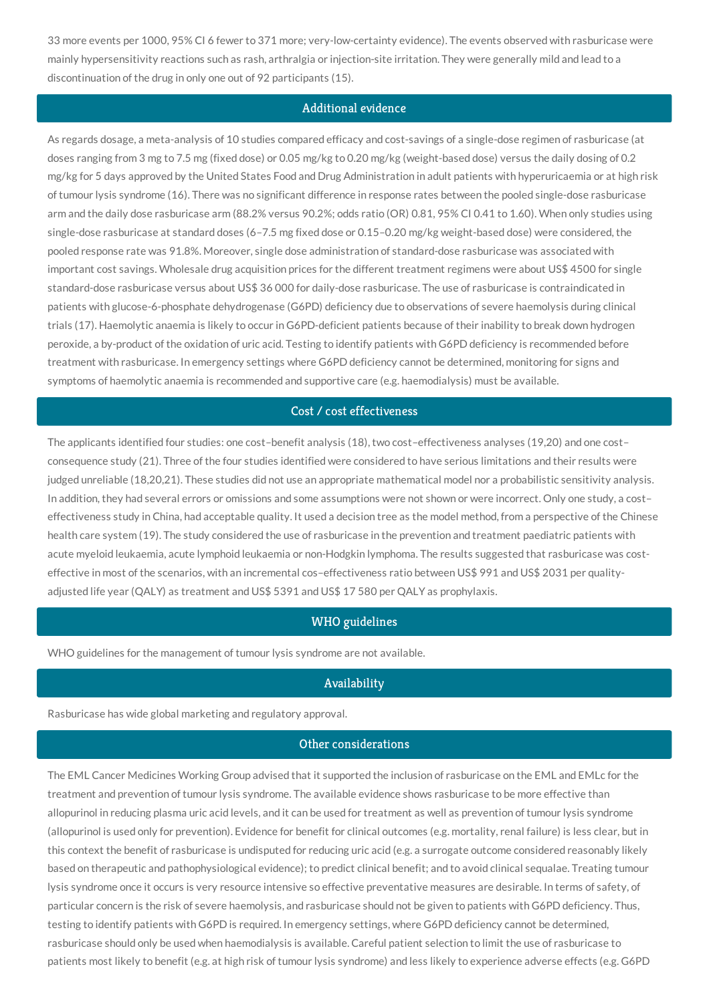33 more events per 1000, 95% CI 6 fewer to 371 more; very-low-certainty evidence). The events observed with rasburicase were mainly hypersensitivity reactions such as rash, arthralgia or injection-site irritation. They were generally mild and lead to a discontinuation of the drug in only one out of 92 participants (15).

#### Additional evidence

As regards dosage, a meta-analysis of 10 studies compared efficacy and cost-savings of a single-dose regimen of rasburicase (at doses ranging from 3 mg to 7.5 mg (fixed dose) or 0.05 mg/kg to 0.20 mg/kg (weight-based dose) versus the daily dosing of 0.2 mg/kg for 5 days approved by the United States Food and Drug Administration in adult patients with hyperuricaemia or at high risk of tumour lysis syndrome (16). There was no significant difference in response rates between the pooled single-dose rasburicase arm and the daily dose rasburicase arm (88.2% versus 90.2%; odds ratio (OR) 0.81, 95% CI 0.41 to 1.60). When only studies using single-dose rasburicase at standard doses (6–7.5 mg fixed dose or 0.15–0.20 mg/kg weight-based dose) were considered, the pooled response rate was 91.8%. Moreover, single dose administration of standard-dose rasburicase was associated with important cost savings. Wholesale drug acquisition prices for the different treatment regimens were about US\$ 4500 for single standard-dose rasburicase versus about US\$ 36 000 for daily-dose rasburicase. The use of rasburicase is contraindicated in patients with glucose-6-phosphate dehydrogenase (G6PD) deficiency due to observations of severe haemolysis during clinical trials (17). Haemolytic anaemia is likely to occur in G6PD-deficient patients because of their inability to break down hydrogen peroxide, a by-product of the oxidation of uric acid. Testing to identify patients with G6PD deficiency is recommended before treatment with rasburicase. In emergency settings where G6PD deficiency cannot be determined, monitoring for signs and symptoms of haemolytic anaemia is recommended and supportive care (e.g. haemodialysis) must be available.

## Cost / cost effectiveness

The applicants identified four studies: one cost–benefit analysis (18), two cost–effectiveness analyses (19,20) and one cost– consequence study (21). Three of the four studies identified were considered to have serious limitations and their results were judged unreliable (18,20,21). These studies did not use an appropriate mathematical model nor a probabilistic sensitivity analysis. In addition, they had several errors or omissions and some assumptions were not shown or were incorrect. Only one study, a costeffectiveness study in China, had acceptable quality. It used a decision tree as the model method, from a perspective of the Chinese health care system (19). The study considered the use of rasburicase in the prevention and treatment paediatric patients with acute myeloid leukaemia, acute lymphoid leukaemia or non-Hodgkin lymphoma. The results suggested that rasburicase was costeffective in most of the scenarios, with an incremental cos–effectiveness ratio between US\$ 991 and US\$ 2031 per qualityadjusted life year (QALY) as treatment and US\$ 5391 and US\$ 17 580 per QALY as prophylaxis.

### WHO guidelines

WHO guidelines for the management of tumour lysis syndrome are not available.

#### Availability

Rasburicase has wide global marketing and regulatory approval.

#### Other considerations

The EML Cancer Medicines Working Group advised that it supported the inclusion of rasburicase on the EML and EMLc for the treatment and prevention of tumour lysis syndrome. The available evidence shows rasburicase to be more effective than allopurinol in reducing plasma uric acid levels, and it can be used for treatment as well as prevention of tumour lysis syndrome (allopurinol is used only for prevention). Evidence for benefit for clinical outcomes (e.g. mortality, renal failure) is less clear, but in this context the benefit of rasburicase is undisputed for reducing uric acid (e.g. a surrogate outcome considered reasonably likely based on therapeutic and pathophysiological evidence); to predict clinical benefit; and to avoid clinical sequalae. Treating tumour lysis syndrome once it occurs is very resource intensive so effective preventative measures are desirable. In terms of safety, of particular concern is the risk of severe haemolysis, and rasburicase should not be given to patients with G6PD deficiency. Thus, testing to identify patients with G6PD is required. In emergency settings, where G6PD deficiency cannot be determined, rasburicase should only be used when haemodialysis is available. Careful patient selection to limit the use of rasburicase to patients most likely to benefit (e.g. at high risk of tumour lysis syndrome) and less likely to experience adverse effects (e.g. G6PD